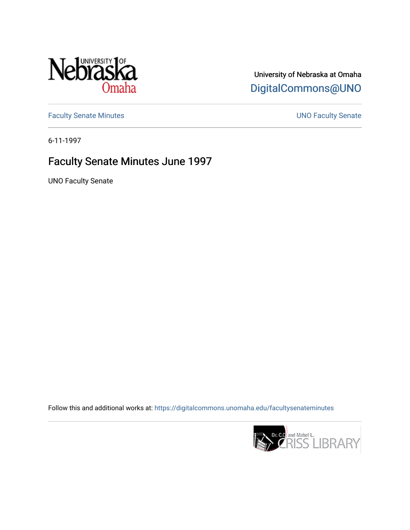

## University of Nebraska at Omaha [DigitalCommons@UNO](https://digitalcommons.unomaha.edu/)

[Faculty Senate Minutes](https://digitalcommons.unomaha.edu/facultysenateminutes) **Exercise Senate UNO Faculty Senate** 

6-11-1997

## Faculty Senate Minutes June 1997

UNO Faculty Senate

Follow this and additional works at: [https://digitalcommons.unomaha.edu/facultysenateminutes](https://digitalcommons.unomaha.edu/facultysenateminutes?utm_source=digitalcommons.unomaha.edu%2Ffacultysenateminutes%2F55&utm_medium=PDF&utm_campaign=PDFCoverPages) 

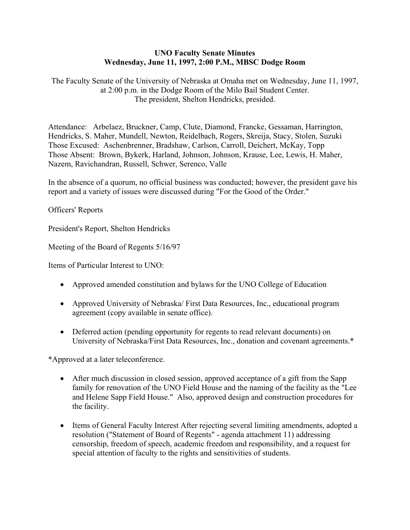## **UNO Faculty Senate Minutes Wednesday, June 11, 1997, 2:00 P.M., MBSC Dodge Room**

The Faculty Senate of the University of Nebraska at Omaha met on Wednesday, June 11, 1997, at 2:00 p.m. in the Dodge Room of the Milo Bail Student Center. The president, Shelton Hendricks, presided.

Attendance: Arbelaez, Bruckner, Camp, Clute, Diamond, Francke, Gessaman, Harrington, Hendricks, S. Maher, Mundell, Newton, Reidelbach, Rogers, Skreija, Stacy, Stolen, Suzuki Those Excused: Aschenbrenner, Bradshaw, Carlson, Carroll, Deichert, McKay, Topp Those Absent: Brown, Bykerk, Harland, Johnson, Johnson, Krause, Lee, Lewis, H. Maher, Nazem, Ravichandran, Russell, Schwer, Serenco, Valle

In the absence of a quorum, no official business was conducted; however, the president gave his report and a variety of issues were discussed during "For the Good of the Order."

Officers' Reports

President's Report, Shelton Hendricks

Meeting of the Board of Regents 5/16/97

Items of Particular Interest to UNO:

- Approved amended constitution and bylaws for the UNO College of Education
- Approved University of Nebraska/ First Data Resources, Inc., educational program agreement (copy available in senate office).
- Deferred action (pending opportunity for regents to read relevant documents) on University of Nebraska/First Data Resources, Inc., donation and covenant agreements.\*

\*Approved at a later teleconference.

- After much discussion in closed session, approved acceptance of a gift from the Sapp family for renovation of the UNO Field House and the naming of the facility as the "Lee and Helene Sapp Field House." Also, approved design and construction procedures for the facility.
- Items of General Faculty Interest After rejecting several limiting amendments, adopted a resolution ("Statement of Board of Regents" - agenda attachment 11) addressing censorship, freedom of speech, academic freedom and responsibility, and a request for special attention of faculty to the rights and sensitivities of students.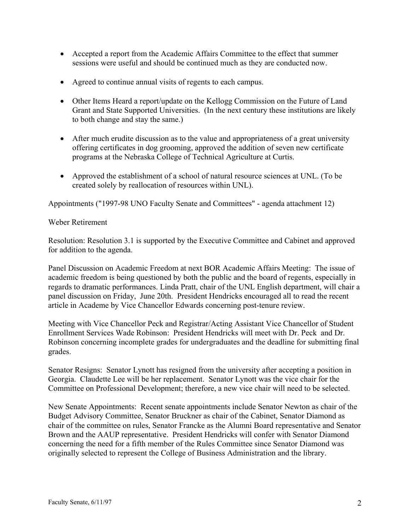- Accepted a report from the Academic Affairs Committee to the effect that summer sessions were useful and should be continued much as they are conducted now.
- Agreed to continue annual visits of regents to each campus.
- Other Items Heard a report/update on the Kellogg Commission on the Future of Land Grant and State Supported Universities. (In the next century these institutions are likely to both change and stay the same.)
- After much erudite discussion as to the value and appropriateness of a great university offering certificates in dog grooming, approved the addition of seven new certificate programs at the Nebraska College of Technical Agriculture at Curtis.
- Approved the establishment of a school of natural resource sciences at UNL. (To be created solely by reallocation of resources within UNL).

Appointments ("1997-98 UNO Faculty Senate and Committees" - agenda attachment 12)

## Weber Retirement

Resolution: Resolution 3.1 is supported by the Executive Committee and Cabinet and approved for addition to the agenda.

Panel Discussion on Academic Freedom at next BOR Academic Affairs Meeting: The issue of academic freedom is being questioned by both the public and the board of regents, especially in regards to dramatic performances. Linda Pratt, chair of the UNL English department, will chair a panel discussion on Friday, June 20th. President Hendricks encouraged all to read the recent article in Academe by Vice Chancellor Edwards concerning post-tenure review.

Meeting with Vice Chancellor Peck and Registrar/Acting Assistant Vice Chancellor of Student Enrollment Services Wade Robinson: President Hendricks will meet with Dr. Peck and Dr. Robinson concerning incomplete grades for undergraduates and the deadline for submitting final grades.

Senator Resigns: Senator Lynott has resigned from the university after accepting a position in Georgia. Claudette Lee will be her replacement. Senator Lynott was the vice chair for the Committee on Professional Development; therefore, a new vice chair will need to be selected.

New Senate Appointments: Recent senate appointments include Senator Newton as chair of the Budget Advisory Committee, Senator Bruckner as chair of the Cabinet, Senator Diamond as chair of the committee on rules, Senator Francke as the Alumni Board representative and Senator Brown and the AAUP representative. President Hendricks will confer with Senator Diamond concerning the need for a fifth member of the Rules Committee since Senator Diamond was originally selected to represent the College of Business Administration and the library.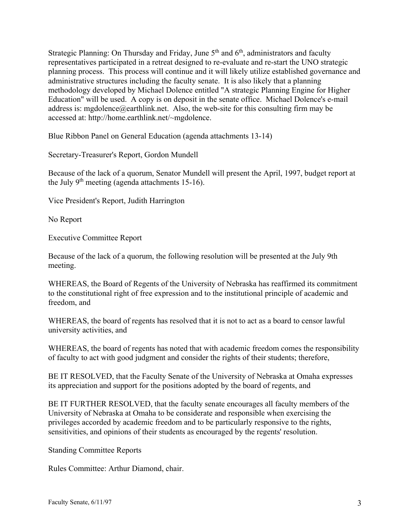Strategic Planning: On Thursday and Friday, June  $5<sup>th</sup>$  and  $6<sup>th</sup>$ , administrators and faculty representatives participated in a retreat designed to re-evaluate and re-start the UNO strategic planning process. This process will continue and it will likely utilize established governance and administrative structures including the faculty senate. It is also likely that a planning methodology developed by Michael Dolence entitled "A strategic Planning Engine for Higher Education" will be used. A copy is on deposit in the senate office. Michael Dolence's e-mail address is: mgdolence@earthlink.net. Also, the web-site for this consulting firm may be accessed at: http://home.earthlink.net/~mgdolence.

Blue Ribbon Panel on General Education (agenda attachments 13-14)

Secretary-Treasurer's Report, Gordon Mundell

Because of the lack of a quorum, Senator Mundell will present the April, 1997, budget report at the July  $9<sup>th</sup>$  meeting (agenda attachments 15-16).

Vice President's Report, Judith Harrington

No Report

Executive Committee Report

Because of the lack of a quorum, the following resolution will be presented at the July 9th meeting.

WHEREAS, the Board of Regents of the University of Nebraska has reaffirmed its commitment to the constitutional right of free expression and to the institutional principle of academic and freedom, and

WHEREAS, the board of regents has resolved that it is not to act as a board to censor lawful university activities, and

WHEREAS, the board of regents has noted that with academic freedom comes the responsibility of faculty to act with good judgment and consider the rights of their students; therefore,

BE IT RESOLVED, that the Faculty Senate of the University of Nebraska at Omaha expresses its appreciation and support for the positions adopted by the board of regents, and

BE IT FURTHER RESOLVED, that the faculty senate encourages all faculty members of the University of Nebraska at Omaha to be considerate and responsible when exercising the privileges accorded by academic freedom and to be particularly responsive to the rights, sensitivities, and opinions of their students as encouraged by the regents' resolution.

Standing Committee Reports

Rules Committee: Arthur Diamond, chair.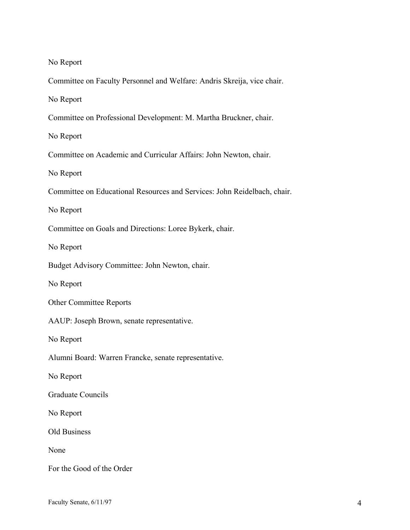No Report

Committee on Faculty Personnel and Welfare: Andris Skreija, vice chair.

No Report

Committee on Professional Development: M. Martha Bruckner, chair.

No Report

Committee on Academic and Curricular Affairs: John Newton, chair.

No Report

Committee on Educational Resources and Services: John Reidelbach, chair.

No Report

Committee on Goals and Directions: Loree Bykerk, chair.

No Report

Budget Advisory Committee: John Newton, chair.

No Report

Other Committee Reports

AAUP: Joseph Brown, senate representative.

No Report

Alumni Board: Warren Francke, senate representative.

No Report

Graduate Councils

No Report

Old Business

None

For the Good of the Order